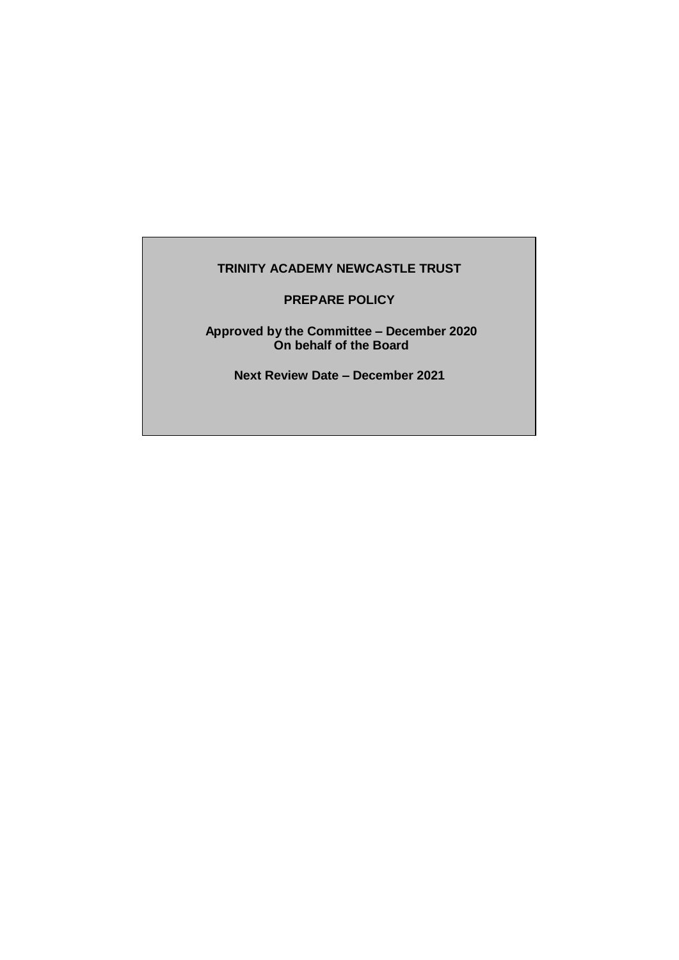### **TRINITY ACADEMY NEWCASTLE TRUST**

**PREPARE POLICY**

**Approved by the Committee – December 2020 On behalf of the Board**

**Next Review Date – December 2021**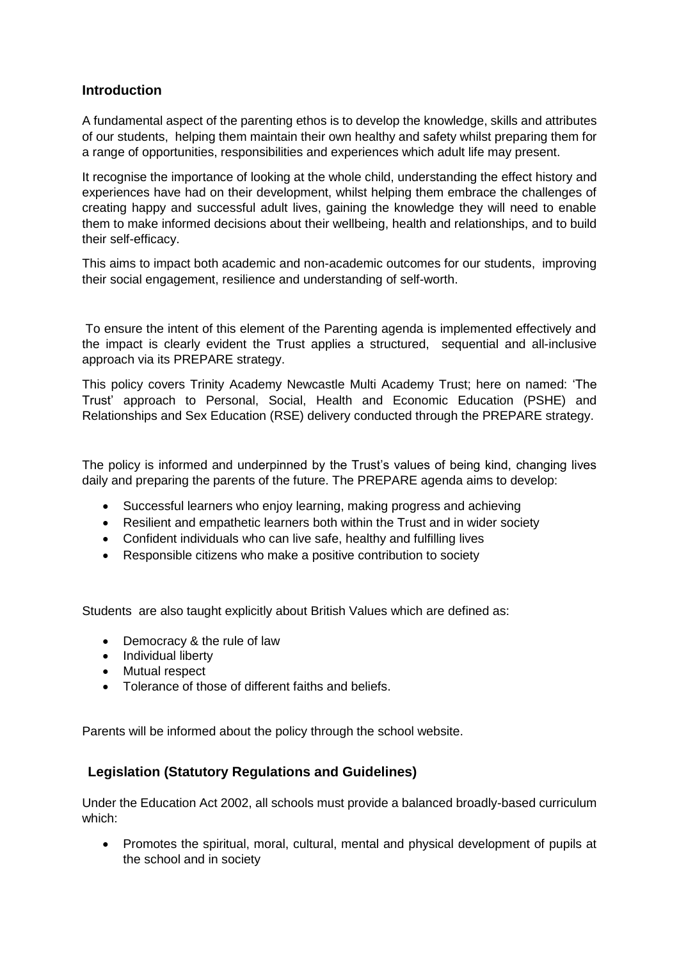## **Introduction**

A fundamental aspect of the parenting ethos is to develop the knowledge, skills and attributes of our students, helping them maintain their own healthy and safety whilst preparing them for a range of opportunities, responsibilities and experiences which adult life may present.

It recognise the importance of looking at the whole child, understanding the effect history and experiences have had on their development, whilst helping them embrace the challenges of creating happy and successful adult lives, gaining the knowledge they will need to enable them to make informed decisions about their wellbeing, health and relationships, and to build their self-efficacy.

This aims to impact both academic and non-academic outcomes for our students, improving their social engagement, resilience and understanding of self-worth.

To ensure the intent of this element of the Parenting agenda is implemented effectively and the impact is clearly evident the Trust applies a structured, sequential and all-inclusive approach via its PREPARE strategy.

This policy covers Trinity Academy Newcastle Multi Academy Trust; here on named: 'The Trust' approach to Personal, Social, Health and Economic Education (PSHE) and Relationships and Sex Education (RSE) delivery conducted through the PREPARE strategy.

The policy is informed and underpinned by the Trust's values of being kind, changing lives daily and preparing the parents of the future. The PREPARE agenda aims to develop:

- Successful learners who enjoy learning, making progress and achieving
- Resilient and empathetic learners both within the Trust and in wider society
- Confident individuals who can live safe, healthy and fulfilling lives
- Responsible citizens who make a positive contribution to society

Students are also taught explicitly about British Values which are defined as:

- Democracy & the rule of law
- Individual liberty
- Mutual respect
- Tolerance of those of different faiths and beliefs.

Parents will be informed about the policy through the school website.

## **Legislation (Statutory Regulations and Guidelines)**

Under the Education Act 2002, all schools must provide a balanced broadly-based curriculum which:

 Promotes the spiritual, moral, cultural, mental and physical development of pupils at the school and in society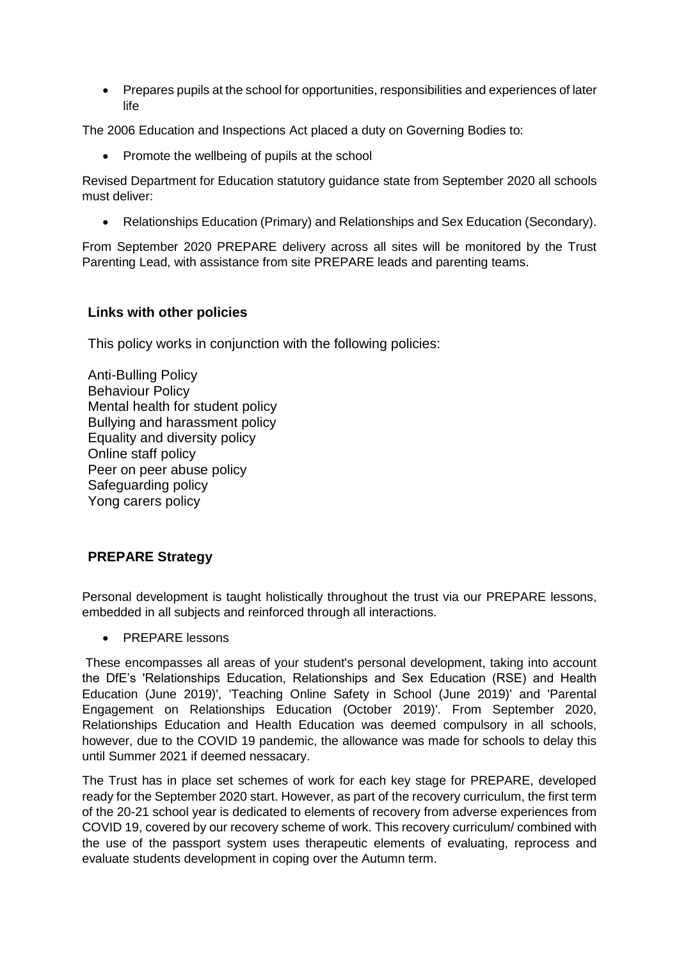Prepares pupils at the school for opportunities, responsibilities and experiences of later life

The 2006 Education and Inspections Act placed a duty on Governing Bodies to:

Promote the wellbeing of pupils at the school

Revised Department for Education statutory guidance state from September 2020 all schools must deliver:

Relationships Education (Primary) and Relationships and Sex Education (Secondary).

From September 2020 PREPARE delivery across all sites will be monitored by the Trust Parenting Lead, with assistance from site PREPARE leads and parenting teams.

## **Links with other policies**

This policy works in conjunction with the following policies:

Anti-Bulling Policy Behaviour Policy Mental health for student policy Bullying and harassment policy Equality and diversity policy Online staff policy Peer on peer abuse policy Safeguarding policy Yong carers policy

## **PREPARE Strategy**

Personal development is taught holistically throughout the trust via our PREPARE lessons, embedded in all subjects and reinforced through all interactions.

PREPARE lessons

These encompasses all areas of your student's personal development, taking into account the DfE's 'Relationships Education, Relationships and Sex Education (RSE) and Health Education (June 2019)', 'Teaching Online Safety in School (June 2019)' and 'Parental Engagement on Relationships Education (October 2019)'. From September 2020, Relationships Education and Health Education was deemed compulsory in all schools, however, due to the COVID 19 pandemic, the allowance was made for schools to delay this until Summer 2021 if deemed nessacary.

The Trust has in place set schemes of work for each key stage for PREPARE, developed ready for the September 2020 start. However, as part of the recovery curriculum, the first term of the 20-21 school year is dedicated to elements of recovery from adverse experiences from COVID 19, covered by our recovery scheme of work. This recovery curriculum/ combined with the use of the passport system uses therapeutic elements of evaluating, reprocess and evaluate students development in coping over the Autumn term.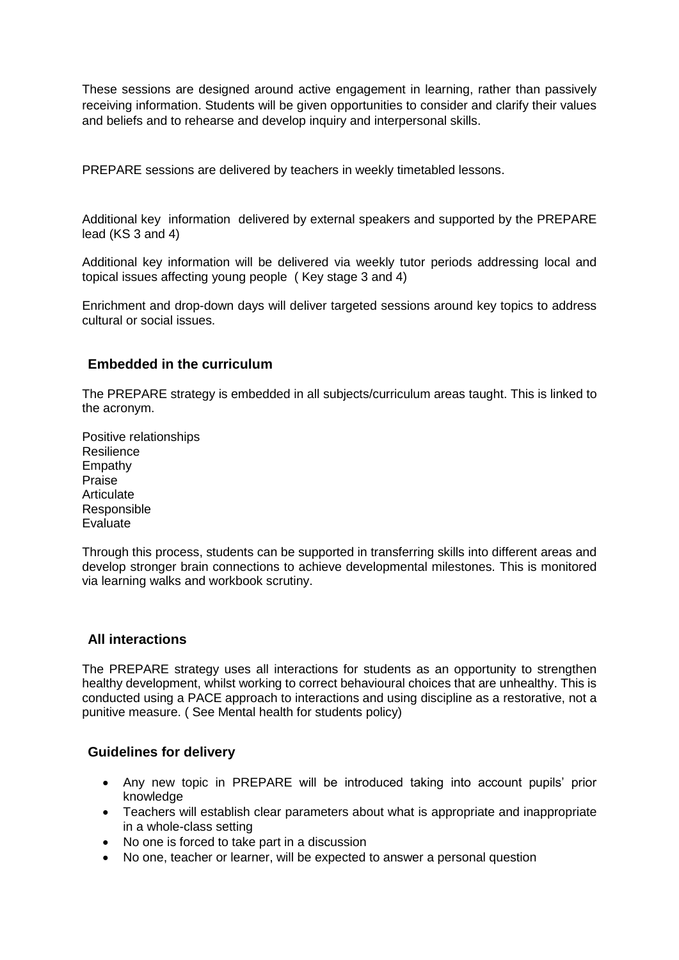These sessions are designed around active engagement in learning, rather than passively receiving information. Students will be given opportunities to consider and clarify their values and beliefs and to rehearse and develop inquiry and interpersonal skills.

PREPARE sessions are delivered by teachers in weekly timetabled lessons.

Additional key information delivered by external speakers and supported by the PREPARE lead (KS 3 and 4)

Additional key information will be delivered via weekly tutor periods addressing local and topical issues affecting young people ( Key stage 3 and 4)

Enrichment and drop-down days will deliver targeted sessions around key topics to address cultural or social issues.

## **Embedded in the curriculum**

The PREPARE strategy is embedded in all subjects/curriculum areas taught. This is linked to the acronym.

Positive relationships Resilience Empathy Praise **Articulate** Responsible Evaluate

Through this process, students can be supported in transferring skills into different areas and develop stronger brain connections to achieve developmental milestones. This is monitored via learning walks and workbook scrutiny.

## **All interactions**

The PREPARE strategy uses all interactions for students as an opportunity to strengthen healthy development, whilst working to correct behavioural choices that are unhealthy. This is conducted using a PACE approach to interactions and using discipline as a restorative, not a punitive measure. ( See Mental health for students policy)

## **Guidelines for delivery**

- Any new topic in PREPARE will be introduced taking into account pupils' prior knowledge
- Teachers will establish clear parameters about what is appropriate and inappropriate in a whole-class setting
- No one is forced to take part in a discussion
- No one, teacher or learner, will be expected to answer a personal question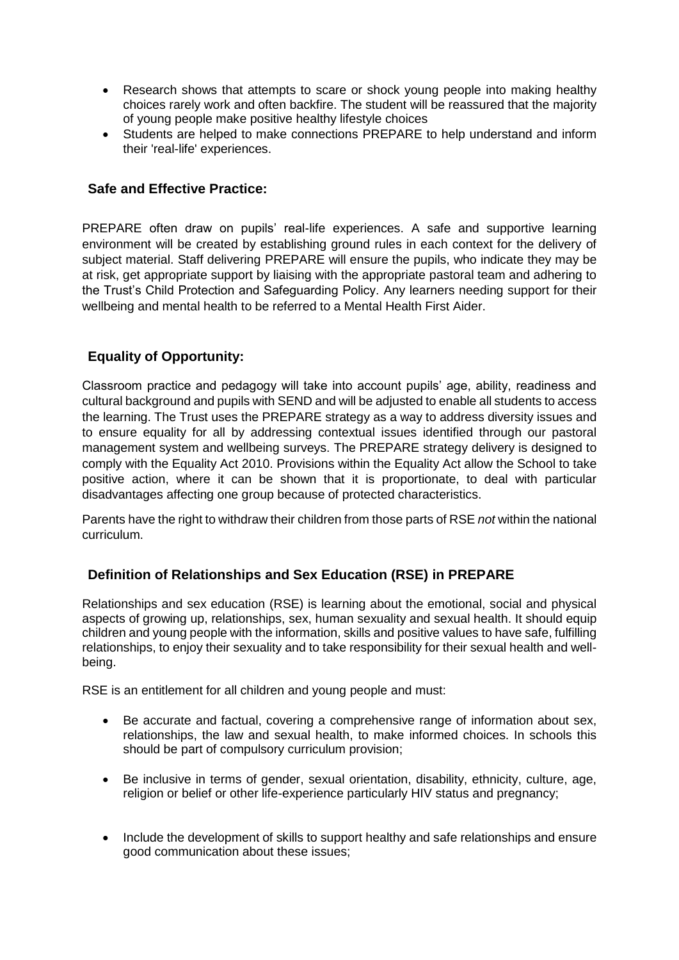- Research shows that attempts to scare or shock young people into making healthy choices rarely work and often backfire. The student will be reassured that the majority of young people make positive healthy lifestyle choices
- Students are helped to make connections PREPARE to help understand and inform their 'real-life' experiences.

## **Safe and Effective Practice:**

PREPARE often draw on pupils' real-life experiences. A safe and supportive learning environment will be created by establishing ground rules in each context for the delivery of subject material. Staff delivering PREPARE will ensure the pupils, who indicate they may be at risk, get appropriate support by liaising with the appropriate pastoral team and adhering to the Trust's Child Protection and Safeguarding Policy. Any learners needing support for their wellbeing and mental health to be referred to a Mental Health First Aider.

# **Equality of Opportunity:**

Classroom practice and pedagogy will take into account pupils' age, ability, readiness and cultural background and pupils with SEND and will be adjusted to enable all students to access the learning. The Trust uses the PREPARE strategy as a way to address diversity issues and to ensure equality for all by addressing contextual issues identified through our pastoral management system and wellbeing surveys. The PREPARE strategy delivery is designed to comply with the Equality Act 2010. Provisions within the Equality Act allow the School to take positive action, where it can be shown that it is proportionate, to deal with particular disadvantages affecting one group because of protected characteristics.

Parents have the right to withdraw their children from those parts of RSE *not* within the national curriculum.

## **Definition of Relationships and Sex Education (RSE) in PREPARE**

Relationships and sex education (RSE) is learning about the emotional, social and physical aspects of growing up, relationships, sex, human sexuality and sexual health. It should equip children and young people with the information, skills and positive values to have safe, fulfilling relationships, to enjoy their sexuality and to take responsibility for their sexual health and wellbeing.

RSE is an entitlement for all children and young people and must:

- Be accurate and factual, covering a comprehensive range of information about sex, relationships, the law and sexual health, to make informed choices. In schools this should be part of compulsory curriculum provision;
- Be inclusive in terms of gender, sexual orientation, disability, ethnicity, culture, age, religion or belief or other life-experience particularly HIV status and pregnancy;
- Include the development of skills to support healthy and safe relationships and ensure good communication about these issues;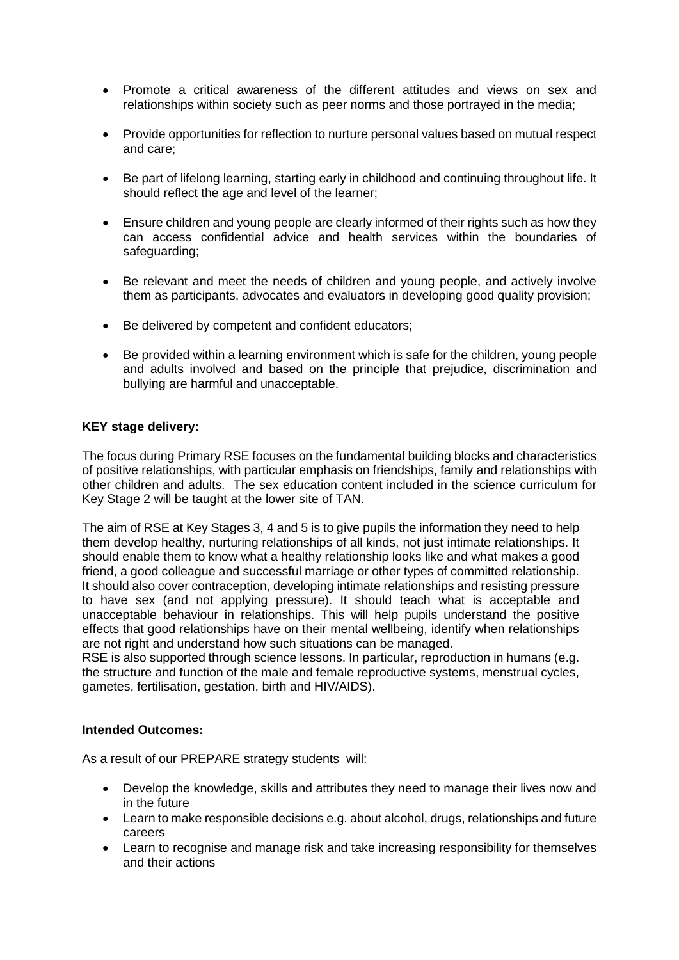- Promote a critical awareness of the different attitudes and views on sex and relationships within society such as peer norms and those portrayed in the media;
- Provide opportunities for reflection to nurture personal values based on mutual respect and care;
- Be part of lifelong learning, starting early in childhood and continuing throughout life. It should reflect the age and level of the learner;
- Ensure children and young people are clearly informed of their rights such as how they can access confidential advice and health services within the boundaries of safeguarding;
- Be relevant and meet the needs of children and young people, and actively involve them as participants, advocates and evaluators in developing good quality provision;
- Be delivered by competent and confident educators;
- Be provided within a learning environment which is safe for the children, young people and adults involved and based on the principle that prejudice, discrimination and bullying are harmful and unacceptable.

### **KEY stage delivery:**

The focus during Primary RSE focuses on the fundamental building blocks and characteristics of positive relationships, with particular emphasis on friendships, family and relationships with other children and adults. The sex education content included in the science curriculum for Key Stage 2 will be taught at the lower site of TAN.

The aim of RSE at Key Stages 3, 4 and 5 is to give pupils the information they need to help them develop healthy, nurturing relationships of all kinds, not just intimate relationships. It should enable them to know what a healthy relationship looks like and what makes a good friend, a good colleague and successful marriage or other types of committed relationship. It should also cover contraception, developing intimate relationships and resisting pressure to have sex (and not applying pressure). It should teach what is acceptable and unacceptable behaviour in relationships. This will help pupils understand the positive effects that good relationships have on their mental wellbeing, identify when relationships are not right and understand how such situations can be managed.

RSE is also supported through science lessons. In particular, reproduction in humans (e.g. the structure and function of the male and female reproductive systems, menstrual cycles, gametes, fertilisation, gestation, birth and HIV/AIDS).

#### **Intended Outcomes:**

As a result of our PREPARE strategy students will:

- Develop the knowledge, skills and attributes they need to manage their lives now and in the future
- Learn to make responsible decisions e.g. about alcohol, drugs, relationships and future careers
- Learn to recognise and manage risk and take increasing responsibility for themselves and their actions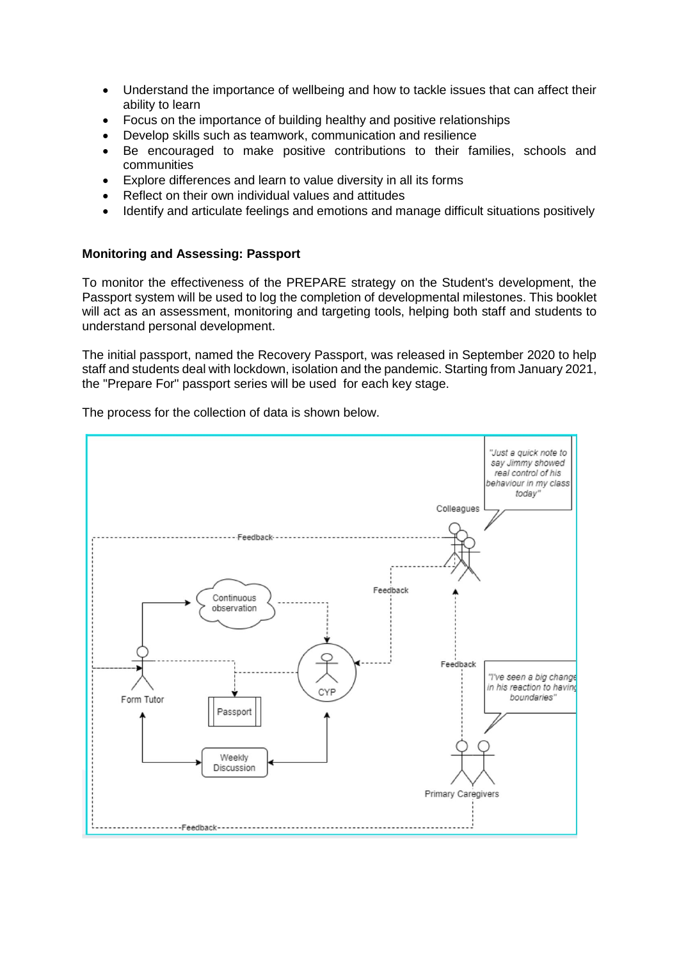- Understand the importance of wellbeing and how to tackle issues that can affect their ability to learn
- Focus on the importance of building healthy and positive relationships
- Develop skills such as teamwork, communication and resilience
- Be encouraged to make positive contributions to their families, schools and communities
- Explore differences and learn to value diversity in all its forms
- Reflect on their own individual values and attitudes
- Identify and articulate feelings and emotions and manage difficult situations positively

### **Monitoring and Assessing: Passport**

To monitor the effectiveness of the PREPARE strategy on the Student's development, the Passport system will be used to log the completion of developmental milestones. This booklet will act as an assessment, monitoring and targeting tools, helping both staff and students to understand personal development.

The initial passport, named the Recovery Passport, was released in September 2020 to help staff and students deal with lockdown, isolation and the pandemic. Starting from January 2021, the "Prepare For" passport series will be used for each key stage.

The process for the collection of data is shown below.